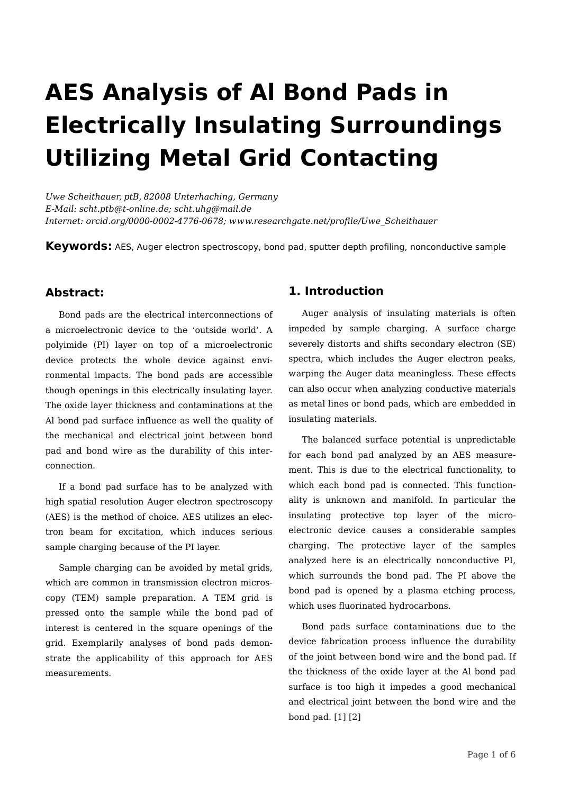# AES Analysis of Al Bond Pads in Electrically Insulating Surroundings Utilizing Metal Grid Contacting

Uwe Scheithauer, ptB, 82008 Unterhaching, Germany E-Mail: scht.ptb@t-online.de; scht.uhg@mail.de Internet: orcid.org/0000-0002-4776-0678; www.researchgate.net/profile/Uwe\_Scheithauer

Keywords: AES, Auger electron spectroscopy, bond pad, sputter depth profiling, nonconductive sample

# Abstract:

Bond pads are the electrical interconnections of a microelectronic device to the 'outside world'. A polyimide (PI) layer on top of a microelectronic device protects the whole device against environmental impacts. The bond pads are accessible though openings in this electrically insulating layer. The oxide layer thickness and contaminations at the Al bond pad surface influence as well the quality of the mechanical and electrical joint between bond pad and bond wire as the durability of this interconnection.

If a bond pad surface has to be analyzed with high spatial resolution Auger electron spectroscopy (AES) is the method of choice. AES utilizes an electron beam for excitation, which induces serious sample charging because of the PI layer.

Sample charging can be avoided by metal grids, which are common in transmission electron microscopy (TEM) sample preparation. A TEM grid is pressed onto the sample while the bond pad of interest is centered in the square openings of the grid. Exemplarily analyses of bond pads demonstrate the applicability of this approach for AES measurements.

# 1. Introduction

Auger analysis of insulating materials is often impeded by sample charging. A surface charge severely distorts and shifts secondary electron (SE) spectra, which includes the Auger electron peaks, warping the Auger data meaningless. These effects can also occur when analyzing conductive materials as metal lines or bond pads, which are embedded in insulating materials.

The balanced surface potential is unpredictable for each bond pad analyzed by an AES measurement. This is due to the electrical functionality, to which each bond pad is connected. This functionality is unknown and manifold. In particular the insulating protective top layer of the microelectronic device causes a considerable samples charging. The protective layer of the samples analyzed here is an electrically nonconductive PI, which surrounds the bond pad. The PI above the bond pad is opened by a plasma etching process, which uses fluorinated hydrocarbons.

Bond pads surface contaminations due to the device fabrication process influence the durability of the joint between bond wire and the bond pad. If the thickness of the oxide layer at the Al bond pad surface is too high it impedes a good mechanical and electrical joint between the bond wire and the bond pad. [1] [2]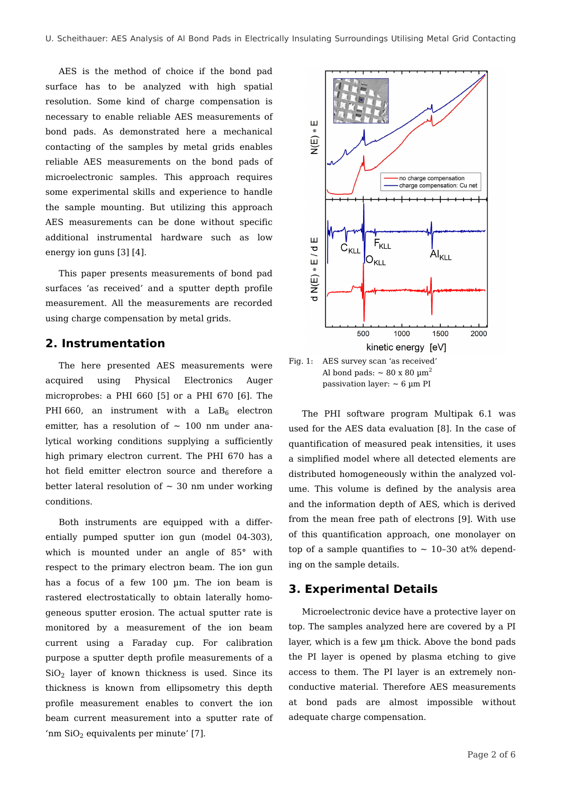AES is the method of choice if the bond pad surface has to be analyzed with high spatial resolution. Some kind of charge compensation is necessary to enable reliable AES measurements of bond pads. As demonstrated here a mechanical contacting of the samples by metal grids enables reliable AES measurements on the bond pads of microelectronic samples. This approach requires some experimental skills and experience to handle the sample mounting. But utilizing this approach AES measurements can be done without specific additional instrumental hardware such as low energy ion guns [3] [4].

This paper presents measurements of bond pad surfaces 'as received' and a sputter depth profile measurement. All the measurements are recorded using charge compensation by metal grids.

#### 2. Instrumentation

The here presented AES measurements were acquired using Physical Electronics Auger microprobes: a PHI 660 [5] or a PHI 670 [6]. The PHI 660, an instrument with a  $LaB<sub>6</sub>$  electron emitter, has a resolution of  $\sim$  100 nm under analytical working conditions supplying a sufficiently high primary electron current. The PHI 670 has a hot field emitter electron source and therefore a better lateral resolution of  $\sim$  30 nm under working conditions.

Both instruments are equipped with a differentially pumped sputter ion gun (model 04-303), which is mounted under an angle of 85° with respect to the primary electron beam. The ion gun has a focus of a few 100 µm. The ion beam is rastered electrostatically to obtain laterally homogeneous sputter erosion. The actual sputter rate is monitored by a measurement of the ion beam current using a Faraday cup. For calibration purpose a sputter depth profile measurements of a SiO2 layer of known thickness is used. Since its thickness is known from ellipsometry this depth profile measurement enables to convert the ion beam current measurement into a sputter rate of 'nm  $SiO<sub>2</sub>$  equivalents per minute' [7].



The PHI software program Multipak 6.1 was used for the AES data evaluation [8]. In the case of quantification of measured peak intensities, it uses a simplified model where all detected elements are distributed homogeneously within the analyzed volume. This volume is defined by the analysis area and the information depth of AES, which is derived from the mean free path of electrons [9]. With use of this quantification approach, one monolayer on top of a sample quantifies to  $\sim$  10–30 at% depending on the sample details.

#### 3. Experimental Details

Microelectronic device have a protective layer on top. The samples analyzed here are covered by a PI layer, which is a few µm thick. Above the bond pads the PI layer is opened by plasma etching to give access to them. The PI layer is an extremely nonconductive material. Therefore AES measurements at bond pads are almost impossible without adequate charge compensation.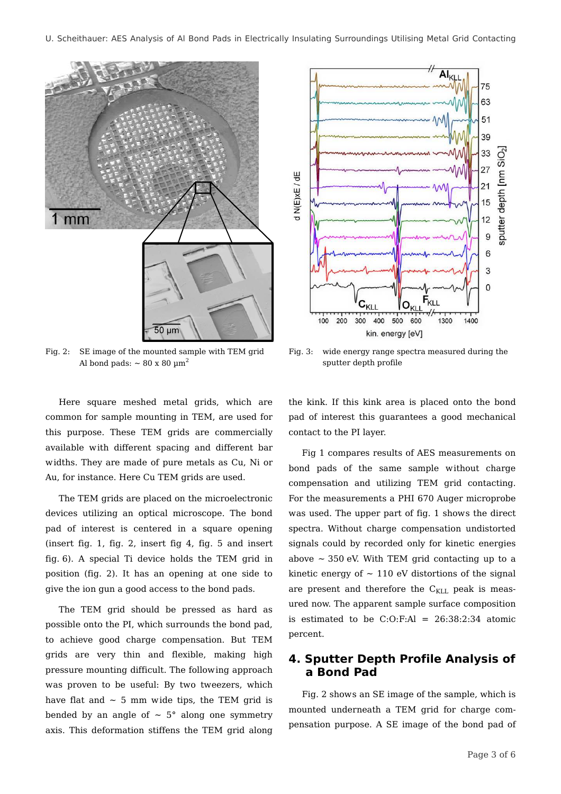

Fig. 2: SE image of the mounted sample with TEM grid Al bond pads:  $\sim 80$  x  $80$   $\mu$ m<sup>2</sup>

Here square meshed metal grids, which are common for sample mounting in TEM, are used for this purpose. These TEM grids are commercially available with different spacing and different bar widths. They are made of pure metals as Cu, Ni or Au, for instance. Here Cu TEM grids are used.

The TEM grids are placed on the microelectronic devices utilizing an optical microscope. The bond pad of interest is centered in a square opening (insert fig. 1, fig. 2, insert fig 4, fig. 5 and insert fig. 6). A special Ti device holds the TEM grid in position (fig. 2). It has an opening at one side to give the ion gun a good access to the bond pads.

The TEM grid should be pressed as hard as possible onto the PI, which surrounds the bond pad, to achieve good charge compensation. But TEM grids are very thin and flexible, making high pressure mounting difficult. The following approach was proven to be useful: By two tweezers, which have flat and  $\sim$  5 mm wide tips, the TEM grid is bended by an angle of  $\sim$  5° along one symmetry axis. This deformation stiffens the TEM grid along



Fig. 3: wide energy range spectra measured during the sputter depth profile

the kink. If this kink area is placed onto the bond pad of interest this guarantees a good mechanical contact to the PI layer.

Fig 1 compares results of AES measurements on bond pads of the same sample without charge compensation and utilizing TEM grid contacting. For the measurements a PHI 670 Auger microprobe was used. The upper part of fig. 1 shows the direct spectra. Without charge compensation undistorted signals could by recorded only for kinetic energies above  $\sim$  350 eV. With TEM grid contacting up to a kinetic energy of  $\sim$  110 eV distortions of the signal are present and therefore the  $C_{KLL}$  peak is measured now. The apparent sample surface composition is estimated to be  $C:O:F:A$  = 26:38:2:34 atomic percent.

## 4. Sputter Depth Profile Analysis of a Bond Pad

Fig. 2 shows an SE image of the sample, which is mounted underneath a TEM grid for charge compensation purpose. A SE image of the bond pad of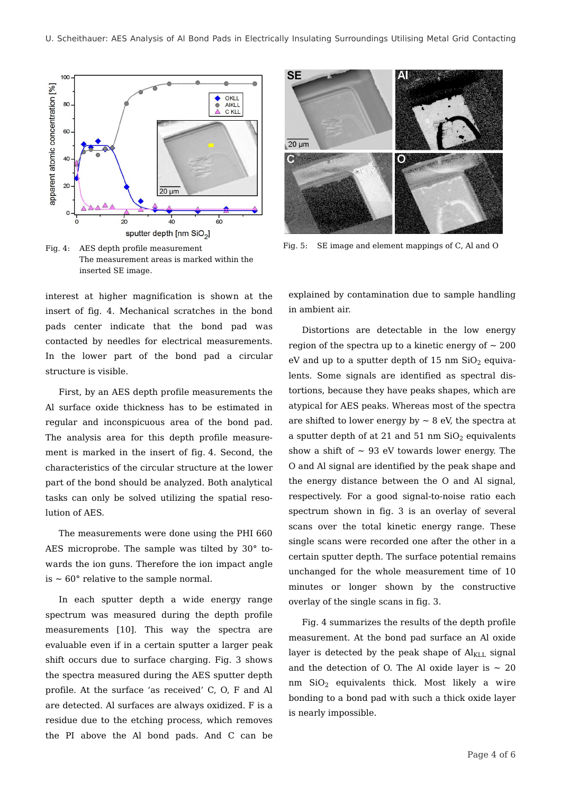

Fig. 4: AES depth profile measurement The measurement areas is marked within the inserted SE image.

interest at higher magnification is shown at the insert of fig. 4. Mechanical scratches in the bond pads center indicate that the bond pad was contacted by needles for electrical measurements. In the lower part of the bond pad a circular structure is visible.

First, by an AES depth profile measurements the Al surface oxide thickness has to be estimated in regular and inconspicuous area of the bond pad. The analysis area for this depth profile measurement is marked in the insert of fig. 4. Second, the characteristics of the circular structure at the lower part of the bond should be analyzed. Both analytical tasks can only be solved utilizing the spatial resolution of AES.

The measurements were done using the PHI 660 AES microprobe. The sample was tilted by 30° towards the ion guns. Therefore the ion impact angle is  $\sim 60^{\circ}$  relative to the sample normal.

In each sputter depth a wide energy range spectrum was measured during the depth profile measurements [10]. This way the spectra are evaluable even if in a certain sputter a larger peak shift occurs due to surface charging. Fig. 3 shows the spectra measured during the AES sputter depth profile. At the surface 'as received' C, O, F and Al are detected. Al surfaces are always oxidized. F is a residue due to the etching process, which removes the PI above the Al bond pads. And C can be



Fig. 5: SE image and element mappings of C, Al and O

explained by contamination due to sample handling in ambient air.

Distortions are detectable in the low energy region of the spectra up to a kinetic energy of  $\sim 200$ eV and up to a sputter depth of  $15 \text{ nm } \text{SiO}_2$  equivalents. Some signals are identified as spectral distortions, because they have peaks shapes, which are atypical for AES peaks. Whereas most of the spectra are shifted to lower energy by  $\sim$  8 eV, the spectra at a sputter depth of at 21 and 51 nm  $SiO<sub>2</sub>$  equivalents show a shift of  $\sim$  93 eV towards lower energy. The O and Al signal are identified by the peak shape and the energy distance between the O and Al signal, respectively. For a good signal-to-noise ratio each spectrum shown in fig. 3 is an overlay of several scans over the total kinetic energy range. These single scans were recorded one after the other in a certain sputter depth. The surface potential remains unchanged for the whole measurement time of 10 minutes or longer shown by the constructive overlay of the single scans in fig. 3.

Fig. 4 summarizes the results of the depth profile measurement. At the bond pad surface an Al oxide layer is detected by the peak shape of  $\text{Al}_{\text{KLL}}$  signal and the detection of O. The Al oxide layer is  $\sim 20$ nm SiO2 equivalents thick. Most likely a wire bonding to a bond pad with such a thick oxide layer is nearly impossible.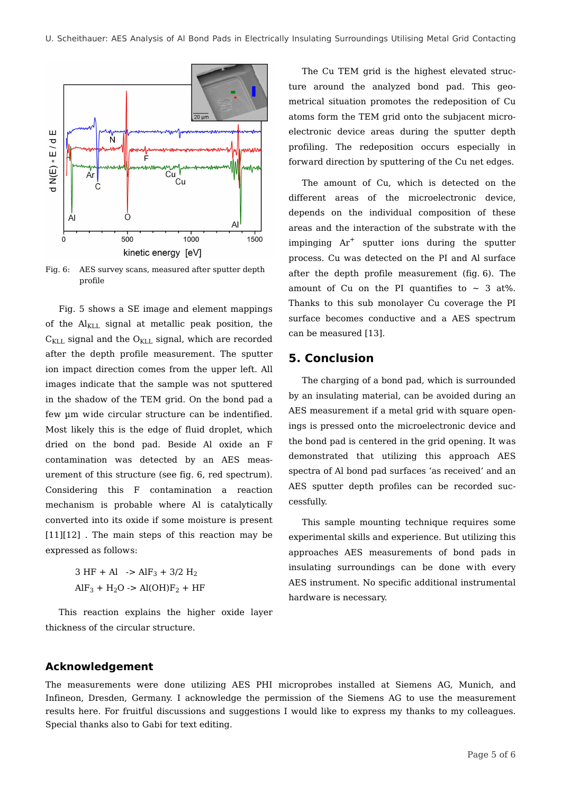

Fig. 6: AES survey scans, measured after sputter depth profile

Fig. 5 shows a SE image and element mappings of the Al<sub>KLL</sub> signal at metallic peak position, the  $C_{KLL}$  signal and the  $O_{KLL}$  signal, which are recorded after the depth profile measurement. The sputter ion impact direction comes from the upper left. All images indicate that the sample was not sputtered in the shadow of the TEM grid. On the bond pad a few µm wide circular structure can be indentified. Most likely this is the edge of fluid droplet, which dried on the bond pad. Beside Al oxide an F contamination was detected by an AES measurement of this structure (see fig. 6, red spectrum). Considering this F contamination a reaction mechanism is probable where Al is catalytically converted into its oxide if some moisture is present [11][12]. The main steps of this reaction may be expressed as follows:

> $3 HF + Al \rightarrow AlF_3 + 3/2 H_2$  $AlF_3 + H_2O \rightarrow Al(OH)F_2 + HF$

This reaction explains the higher oxide layer thickness of the circular structure.

The Cu TEM grid is the highest elevated structure around the analyzed bond pad. This geometrical situation promotes the redeposition of Cu atoms form the TEM grid onto the subjacent microelectronic device areas during the sputter depth profiling. The redeposition occurs especially in forward direction by sputtering of the Cu net edges.

The amount of Cu, which is detected on the different areas of the microelectronic device, depends on the individual composition of these areas and the interaction of the substrate with the impinging  $Ar^+$  sputter ions during the sputter process. Cu was detected on the PI and Al surface after the depth profile measurement (fig. 6). The amount of Cu on the PI quantifies to  $\sim$  3 at%. Thanks to this sub monolayer Cu coverage the PI surface becomes conductive and a AES spectrum can be measured [13].

# 5. Conclusion

The charging of a bond pad, which is surrounded by an insulating material, can be avoided during an AES measurement if a metal grid with square openings is pressed onto the microelectronic device and the bond pad is centered in the grid opening. It was demonstrated that utilizing this approach AES spectra of Al bond pad surfaces 'as received' and an AES sputter depth profiles can be recorded successfully.

This sample mounting technique requires some experimental skills and experience. But utilizing this approaches AES measurements of bond pads in insulating surroundings can be done with every AES instrument. No specific additional instrumental hardware is necessary.

#### Acknowledgement

The measurements were done utilizing AES PHI microprobes installed at Siemens AG, Munich, and Infineon, Dresden, Germany. I acknowledge the permission of the Siemens AG to use the measurement results here. For fruitful discussions and suggestions I would like to express my thanks to my colleagues. Special thanks also to Gabi for text editing.